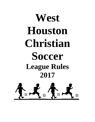# West **Houston Christian Soccer League Rules 2017**

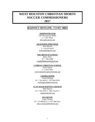# **WEST HOUSTON CHRISTIAN SPORTS SOCCER COMMISSIONERS**

## **2017**

## **RAINOUT HOTLINE: 713 857-4885**

#### **ADMINISTRATOR**

Gail Hovanesian Miller C: 7 857-9422 [whcsa@comcast.net](mailto:whcsa@comcast.net)

#### **ASCENSION EPISCOPAL**

Kari Hazard C: 210 633-4335 [knhazard@gmail.com](mailto:knhazard@gmail.com)

#### **THE BRANCH SCHOOL**

Betsy West W: 7 465-0288 westb@thebranchschool.org

#### **CYPRESS CHRISTIAN SCHOOL**

Jacob Spenn C: 2 924-2065 [jacob.spenn@cypresschristian.org](mailto:jacob.spenn@cypresschristian.org)

#### **CHAPELWOOD**

Cason Sicking W: 7 354-4416 C: 979 240-5924 [csicking@chapelwood.org](mailto:csicking@chapelwood.org)

#### **CLAY ROAD BAPTIST CHURCH**

Matt Duston W: 7 939-1023 C: 936-718-6177 mduston@crbs.org

#### **DUCHESNE**

Lance Veazey W: 713 468-8211 C: 917 696-9321 [lance.veazey@duchesne.org](mailto:lance.veazey@duchesne.org)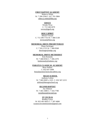#### **FIRST BAPTIST ACADEMY**

Rebecca White W: 7 290-2594 C: 817 701-5884 [rebecca.white@hfba.org](mailto:rebecca.white@hfba.org)

#### **GRACE**

Wendy Wray C: 713 248-2670 wwray@gpch.org

#### **HOLY SPIRIT**

Mitriel Vinzant C: 713 299-7735 W: 7 468-5138 mvinzant@hses.org

#### **MEMORIAL DRIVE PRESBYTERIAN**

Diane Seckinger C: 7 501-5725 W: 7 490-9568 dseckinger@mdpc.org

#### **MEMORIAL DRIVE METHODIST**

Kim Kennedy W: 7 468-8356 C: 7 206-2370 [kimkennedy@mdumc.org](mailto:kimkennedy@mdumc.org)

#### **PARATUS CLASSICAL ACADEMY**

Beau Dollins C: 832 647-5698 beau@paratusclassicalacademy.org

#### **REGIS SCHOOL**

Anthony Lofton W: 7 682-8383 x 2225 C: 832 567-2215 [alofton@theregisschool.org](mailto:alofton@theregisschool.org)

#### **SECOND BAPTIST**

Joy Johnson W: 7 465-3408 C: 7 416-7780 joyjohnson@second.org

#### **ST CECILIA**

Bradley Grace W: 832 491-6055 C: 7 397-4900 [scsasoccercommissioner@gmail.com](mailto:mst02@comcast.net)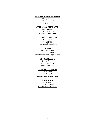#### **ST ELIZABETH ANN SETON**

Johnny Misleh C: 832 443-3700 [mislehj@yahoo.com](mailto:mislehj@yahoo.com)

#### **ST FRANCIS EPISCOPAL**

Scott Moorad C: 832 928-9000 sjmoorad@gmail.com

#### **ST FRANCIS de SALES**

Hope Gassett W: 7 392-0174 [hopegassett@hotmail.com](mailto:hopegassett@hotmail.com)

#### **ST JEROME**

Ricky Hernandez C: 832 576-8658 [rickystjeromelifeteen@gmail.com](mailto:rickystjeromelifeteen@gmail.com)

#### **ST JOHN PAUL II**

Deanne Gordon C: 713 447-8284 dgordo[n@jp2.org](mailto:perez@jp2.org)

#### **ST MARK LUTHERAN**

Colin Doyle C: 2 853-5015 colingraydoyle@yahoo.com

#### **ST MICHAEL**

Suzie Grech C: 734 717-1517 [sgrech@stmichaelcs.org](mailto:sgrech@stmichaelcs.org)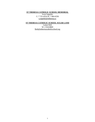#### **ST THERESA CATHOLIC SCHOOL MEMORIAL**

Scott Sugalski C: 7 725-4554 W: 7 864-4536 [s.sugalski@sttheresa.cc](mailto:s.sugalski@sttheresa.cc)

#### **ST THERESA CATHOLIC SCHOOL SUGAR LAND**

Lamar Holt W: 2 924-8869 [lholt@sttheresacatholicschool.org](mailto:lholt@sttheresacatholicschool.org)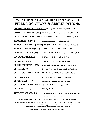# **WEST HOUSTON CHRISTIAN SOCCER FIELD LOCATIONS & ABBREVIATIONS**

| <b>ASCENSION EPISCOPAL:</b> (ASCENSION) 2525 Seagler Westheimer?Seagler (Across - Grace) |                                                                                  |
|------------------------------------------------------------------------------------------|----------------------------------------------------------------------------------|
|                                                                                          | <b>CHAPELWOOD METH:</b> (CWD) 11140 Greenbay Near intersection of Voss/Memorial  |
|                                                                                          | <b>DUCHESNE ACADEMY:</b> (DUCHESNE) 10202 Memorial Dr. Just West of Chimney Rock |
| <b>GRACE PRES: (GRACE):</b>                                                              | 10221 Ella Lee Lane Westheimer @Beltway 8                                        |
|                                                                                          | <b>MEMORIAL DR METH:</b> (MDUMC) 12955 Memorial Dr. Memorial West of Beltway 8   |
| <b>MEMORIAL DR PRES: (MDP)</b>                                                           | 11612 Memorial Drive Memorial Drive @ Briarforest                                |
| <b>PARATUS ACADEMY: (PA)</b>                                                             | 1610 Campbell Road/77055 Long Point and Campbell                                 |
| <b>SECOND BAPTIST: (SB)</b>                                                              | 6410 Woodway Drive Woodway @ Voss                                                |
| <b>ST CECILIA: (SCE)</b>                                                                 | 11740 Joan of Arc I-10 and Bunker Hill                                           |
| <b>ST ELIZ ANN SETON (SEAS)</b>                                                          | 6646 Addicks Satsuma Rd/77084 Hwy 6/West Road                                    |
| <b>ST FRANCIS: (SF)</b>                                                                  | 345 Piney Point Just North of Briarforest/San Felipe                             |
| <b>ST FRANCIS de SALES: (SFD)</b>                                                        | 8100 Roos Road SW Fwy/Beechnut/Mary Bates                                        |
| <b>ST JEROME: (SJ)</b>                                                                   | 8825 Kempwood & Hollister North of I-10                                          |
| <b>ST JOHN PAUL: (SJP)</b>                                                               | 1400 Parkway Plaza Briarforest/Parkway Plaza                                     |
| <b>ST MARK LUTHERAN: (STM)</b>                                                           | 1515 Hillendahl East of Longpoint Rd                                             |
| <b>ST MICHAEL: (SM)</b>                                                                  | 1801 Sage Road near San Felipe                                                   |

**THE REGIS SCHOOL: (RS) 7330 Westview Drive Field is Behind the School Building** \*\*\*\*\*\*\*\*\*\*\*\*\*\*\*\*\*\*\*\*\*\*\*\*\*\*\*\*\*\*\*\*\*\*\*\*\*\*\*\*\*\*\*\*\*\*\*\*\*\*\*\*\*\*\*\*\*\*\*\*\*\*\*\*\*\*\*\*\*\*\*\* **PLEASE RESPECT ALL RULES AND GUIDELINES OF WHCSA FACILITIES**

**SUPERVISE CHILDREN AT ALL TIMES \*\* PLEASE SIT IN AREAS DESIGNATED FOR SPECTATORS**

**NO ONE IS PERMITTED BEHIND THE GOALS DURING PLAY FOR SPECTATING OR PHOTOS \*\* PETS ARE NOT PERMITTED (OTHER THAN DISABILITY DOGS) \*\* DO NOT LEAVE VALUABLES IN PLAIN SIGHT IN YOUR VEHICLE TAKE YOUR VALUABLES WITH YOU TO THE FIELDLOCK YOUR VEHICLES**

#### **YOU ARE RESPONSIBLE FOR DISPOSING OF ALL TRASH**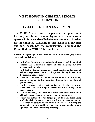## **WEST HOUSTON CHRISTIAN SPORTS ASSOCIATION**

## **COACHES ETHICS AGREEMENT**

**The WHCSA was created to provide the opportunity for the youth in our community to participate in team sports within a positive Christian environment. It exists for the children. Coaching in this league is a privilege and each coach has the responsibility to uphold the Ethics that the WHCSA has set forth.**

**I hereby pledge to uphold the Ethics of the WHCSA during my tenure as a coach in this league.**

- **I will place the spiritual, emotional and physical well being of all children that I encounter above all else, including my own personal desire to win.**
- **I will lead my team in prayer before each practice and game, and will encourage every child to lead a prayer during the course of the season, if they so desire.**
- **I will be a positive role model for the children that I coach, leading by example in demonstrating Christian love, fair play and sportsmanship.**
- **I will encourage active participation of all players, always remembering the wide range of development and ability within any age group.**
- **I will be knowledgeable in the rules of the sport that I coach, and I will make every effort to teach these rules to my players.**
- **I fully understand that the league prohibits teams from using professionals in the sport being coached, whether paid or unpaid, as coaches or consultants for their team before or during the season. (Exception would be the parent of a team member who is a professional in the sport being coached)**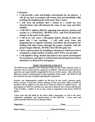**Continued**

- **I will provide a safe and healthy environment for my players. I will do my best to promote self-esteem, fun and friendship while teaching the fundamentals of the sport that I coach.**
- **I will treat all facilities that I attend as I would my own church/school, and will demand the same of my team and their families.**
- **I will ONLY address officials, opposing team players, parents and coaches in a POSITIVE, RESPECTFUL and ENCOURAGING manner in the spirit of the game.**
- **I will in no way cause a disruption before, during or after any game that I am coaching. I will walk away from any inappropriate or negative situation, and follow the procedures for dealing with these issues, through the proper channels, with the proper league officials, AFTER I have left the game site.**
- **I have a plan in place for handling a situation in which my team is winning by a large number of points, and I WILL use my plan.**
- **I will uphold a drug, alcohol and tobacco-free sports environment for my players, and agree to refrain from the personal use of these substances at all practices and games.**

### **ZERO TOLERANCE POLICY**

**The WHCSA has adopted a Zero Tolerance Policy for any coach, assistant coach, or spectator who is removed from a game by an official. Any person removed from a game for any reason shall be suspended for the rest of the season. They will not be allowed to coach or attend games for the remainder of the season. The WHCSA will not entertain any type of appeal regarding the suspension.**

**Further, any inappropriate conduct on the part of any coach, assistant coach, player, parent, or spectator, before, during, or after any game while on WHCSA premises will be subject to the same Zero Tolerance Policy as outlined above. All participants in WHCSA activities are expected to abide by the Coaches and Parents Code of Ethics. Failure to do so may result in suspension from future WHCSA games.**

**I have read and will abide by the above Ethics Agreement, as well as the rules, regulations, guidelines and interpretations of the WHCSA. I have read and understand the WHCSA Zero Tolerance Policy.**

| Signature         | Date                 |  |
|-------------------|----------------------|--|
| <b>Print Name</b> | <b>Church/School</b> |  |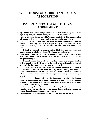## **WEST HOUSTON CHRISTIAN SPORTS ASSOCIATION**

## **PARENTS/SPECTATORS ETHICS AGREEMENT**

- **My conduct as a parent or spectator must be such as to bring HONOR to myself, my team, my church/school, and the sport of basketball**
- **I will at all times during my child's sports related activities make his/her spiritual, emotional and physical well-being my number one priority**
- **I fully understand that any disrespectful/angry/intimidating behavior directed towards any child in the league by a parent or spectator, is an immediate violation, and will be subject to the Zero Tolerance Policy stated below**
- **I will lead by example in demonstrating Christian love, fair play and sportsmanship to all players, fans, officials, parents and coaches**
- **I will ONLY address the officials, opposing team players, parents and coaches in a POSITIVE, RESPECTFUL and ENCOURAGING manner, in the spirit of the game**
- **I will stand behind the coach and assistant coach and support his/her decisions at all times. I will not place the coach in a position to be concerned with my behavior, rather than the game being played**
- **I fully understand that the officials are the ultimate authority in the game. I will respect the officials and their authority before, during and after the game. I will not verbally or through gestures question or criticize an official's call or decision, in the presence of the players even though I may disagree with it**
- **I fully understand that excessive cheering is not permitted, including but not limited to noisemakers, horns, bells, clapboards, drums and confetti. Failure to abide by this policy after warning will result in stoppage of game until items are removed from gymnasium**
- **I will in no way disrupt the game I am attending. I will express concerns regarding any rules or calls only to the proper league officials, through the proper channels, once the game has concluded**
- **I will remember that the game is for the children, and not for the adults**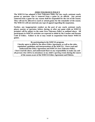#### **ZERO TOLERANCE POLICY**

**The WHCSA has adopted a Zero Tolerance Policy for any coach, assistant coach, parent or spectator who is removed from a game by an official. Any person removed from a game for any reason shall be suspended for the rest of the season. They will not be allowed to coach or attend games for the remainder of the season. The WHCSA will not entertain any type of appeal regarding the suspension.**

**Further, any inappropriate conduct on the part of any coach, assistant coach, player, parent, or spectator, before, during, or after any game while on WHCSA premises will be subject to the same Zero Tolerance Policy as outlined above. All participants in WHCSA activities are expected to abide by the Coaches and Parents Code of Ethics. Failure to do so may result in suspension from future WHCSA games.**

#### **By participating in the WHCSA program,**

**I hereby agree to abide by the above Ethics Agreement, as well as the rules, regulations, guidelines and interpretations of the WHCSA. I have read and understand the Ethics Agreement and WHCSA Zero Tolerance Policy. I have read the above, and understand that it is my responsibility to make any and all persons who will be in attendance at my child's sporting events during the course of the season aware of the WHCSA Ethics Agreement and Policies.**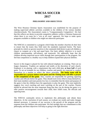## **WHCSA SOCCER 2017**

#### **PHILOSOPHY AND OBJECTIVES**

The West Houston Christian Sports Association was established for the purpose of making supervised athletic activities available to the children of the various member churches/schools. The Association's motto is "Compassionately Competitive", We feel that this reflects our desire to provide competitive athletics within a Christian framework where there is no room for a "win at all costs" approach. We hope to make sports programs available to children who might not otherwise participate.

The WHCSA is committed to a program which helps the member churches do their best to ensure that the teams they field meet the standards expressed herein. The basic principle by which we govern ourselves is the commonly held desire to give all children a chance to compete on a fair and equal basis. Our basic athletic objective is to teach children sportsmanship, self-reliance, and teamwork. We addionally hope that the children develop improved soccer skills through their participatition in the program. We feel that competition is a healthy way to help children expand their physical abilities.

Soccer in this league is played for fun with reduced emphasis on winning. There are no league champions. Trophies are optional and totally at the discretion of each church. Emphasis is on playing, with a requirement that each child play **at least half** of each game. To set an example for our children, coaches and parents are expected to conduct themselves in a manner to reflect the above principles. **The home team will be responsible for a prayer before each game and the visiting team will offer a prayer** at the completion of the game. Also, coaches are responsible for greeting opposing coaches and officials before the game. They should exert every effort to keep themselves, their team members and team parents low key; to remember that the intent and purpose of the game is that the children have the opportunity to play the game. This tone implicitly suggests less vocal coaching and more watching on the part of the coaches. Parents should be advised that the most important flung that they can do during the game is to offer positive encouragement towards their child, their child's team, the officials and opposing team.

The WHCSA continually strives to implement this philosophy and obtain these objectives. At the conclusion of each season, we evaluate our results and make changes deemed necessary. A measure of our successs is the growth of the program and the response from the children who participate. We feel strongly that our commitment to this philosophy and these objectives will keep us going in the right direction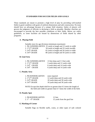#### **STANDARDS FOR SOCCER FIELDS AND GOALS**

These standards are meant to promote a high level of play by providing well-marked fields in good condition with goals of uniform dimensions and safe construction. No team should have an advantage because of a unique field situation. Safety of players will govern the judgment of officials in declaring a field as playable. Member churches are encouraged to provide the best possible conditions at their fields. Below are solely guidelines, as some facilities are bound by dimensions of fields shared by other programs.

#### **A. Playing Field**

Suitable sizes for age divisions (minimum-maximum)

|                              | 1. PK/KINDERGARTEN 25 yards in length and 15 yards in width |
|------------------------------|-------------------------------------------------------------|
| 2. $1st/2nd GRADE$           | 50 yards in length and 35 yards inwidth                     |
| 3. $3/4$ <sup>th</sup> GRADE | 65 yards in length and 50 yards in width                    |
| 4.5/ $6th$ GRADE             | 80 yards in length and 50 yards in width                    |

#### **B. Goal Area**

| 1. PK/KINDERGARTEN          | 13 feet deep and 3 3 feet wide |
|-----------------------------|--------------------------------|
| 2. $1st/2nd GRADE$          | 5 yards deep and 12 yards wide |
| $3.3/4$ <sup>th</sup> GRADE | 6 yards deep and 14 yards wide |
| 4.5/ $6th$ GRADE            | 6 yards deep and 14 yards wide |

#### **C. Penalty Area**

| 1. PK/KINDERGARTEN           | none required                   |
|------------------------------|---------------------------------|
| 2. $1st/2nd GRADE$           | 12 yards deep and 24 yards wide |
| 3. $3/4$ <sup>th</sup> GRADE | 18 yards deep and 30 yards wide |
| 4.5/ $6th$ GRADE             | 18 yards deep and 30 yards wide |

NOTE:Except that depth shall be no greater than 0.3 times the length of the field and width no greater than 0.7 times the width of the field.

#### **D. Penalty Spot**

| 1. PK/KINDERGARTEN   | 12 feet                     |
|----------------------|-----------------------------|
| 2. $1st - 6th GRADE$ | 12 yards from the goal line |

#### **E. Marking of Corner**

Suitable flags on flexible staffs, cones, or other types of safe colored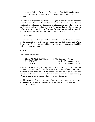markers shall be placed at the four corners of the field. Similar markers may be placed at the half-line one (1) yard outside the touchline.

#### **F. Lines**

Field lines shall be permanently marked in the grass by use of a suitable herbicide or paint. Lines shall then be chalked for greater clarity. All lines shall be maintained throughout the playing season to minimize incorrect calls by referees and linesmen. A line extending from goal line to goal line will be permanently marked at a distance of three (3) feet from the touch-line on both sides of the field. All players and spectators shall stay outside of the three (3) foot line.

#### **G. Field Surface**

The field should be well grassed and smooth without holes, depressions, humps, or other obstructions to fast, safe play. Good drainage shall be provided. Where fields are used for other sports, modifications and repairs to worn areas should be made prior to soccer season.

#### **H. Goals**

Sizes (inside dimensions)

| PRE K AND KINDERGARTEN    | AYSO standards, 10' wide                        |
|---------------------------|-------------------------------------------------|
| $1st - 4th GRADE$         | minimum 6' x 17' maximum 7' x 20'               |
| $5/6$ <sup>th</sup> GRADE | minimum $7' \times 20'$ maximum $8' \times 24'$ |

Goals may be of wood, plastic pipe, or metal pipe and may be permanent or portable. Posts shall be vertical and crossbar shall be horizontal and have a minimum of sag. Surfaces shall be smooth and free of snags splinters and protruding fasteners. Wooden post shall have corners rounded to approximately '/4" radius. Braces and net support shall be provided if necessary.

Suitable netting shall be attached to the back of the goal in such a way as to remain clear of the keeper. Netting shall be secured at ground level leaving no hazardous projections.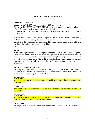#### **SOCCER LEAGUE GUIDELINES**

#### **COACH ELIGIBILITY**

Coaches in the WHCSA must be twenty-one (21) years of age.

Coaches in the WHCSA are VOLUNTEERS. If a team is found to be under the direction of a"professional" coach or trainer, and/or one who is being

reimbursed for his/her services, that team will be removed from the WHCSA League immediately.

A professional coach will be defined as a person who has previously made or currently makes his/her living coaching the sport in question. The

exception to this would be if the parent of a child on the team is a professional athlete or coach, and has volunteered to assist in coaching the team.

#### **TEAMS**

Teams are composed of both boys and girls and limited to specific numbers on the grade. Divisions are divided into brackets based upon player's grade levels. Players may not move from one team to another once registration is complete. League Commissioners, at the registration meeting, reserve the right to make final and binding decisions on team placement in order to balance the divisions for even competition and optimum scheduling.

#### **PRE K and KINDERGARTEN**

Generally, eight  $(8)$  or nine  $(9)$  on roster with five  $(5)$  on the field in Pre K and six  $(6)$  on the field in Kindergarten. All teams will use the league substitution/rotation schedule for players. Their will be no goalie in the Pre K division.

#### **GRADES 1/2**

The  $1<sup>st</sup> / 2<sup>nd</sup> Division will play seven (7) on the field. Recommended roster maximum size  $1<sup>st</sup> / 2<sup>nd</sup>$$ is twelve (12).

#### **GRADES 3/4**

The  $3/4$ <sup>th</sup> Division will play seven (7) on the field. Recommended roster maximum size is twelve (12).

#### **GRADES 5/6**

The  $5/6<sup>th</sup>$  Division will play seven (7) on the field. Recommended roster maximum size is nine (9). There will be 2 officials for these games.

#### **AGE LIMIT**

All players must be fourteen (14) or under on September 1, to be eligible to play in the league.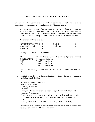#### **WEST HOUSTON CHRISTIAN SOCCER LEAGUE**

Rules will be FIFA. Certain exceptions and key points are outlined below. It is the responsibility of the coaches to be familiar with the FIFA soccer laws.

- A. The underlying principle of the program is to teach the children the game of soccer and good sportsmanship. Each player is required to play one half the match, unless, held out for disciplinary reasons in the Pee Wee through Major Levels. The Pre K/Kindergarten division has a defined player rotation schedule.
- B. Ball sizes are outlined as follows:

| PRE K/KINDERGARTEN      | Grade 1                    |  |
|-------------------------|----------------------------|--|
| Grade 1st/ $2nd$ or 2nd | Grades $3/4$ <sup>th</sup> |  |
| Grades $5/6th$          |                            |  |

The length of matches will be as follows:

| PRE K                            | 20 Min. Practice/10 Min. Break/Game: 4 quarters (5 minute) |
|----------------------------------|------------------------------------------------------------|
| <b>KINDERGARTEN</b>              | Two 20 minute halves                                       |
| 1 <sup>st</sup> /2 <sup>nd</sup> | Two 25 minute halves                                       |
| $3/4^{th}$                       | Two 25 minute halves                                       |
| $5/6$ <sup>th</sup>              | Two 30 minute halves                                       |

There will be a five (5) minute break between halves. Kickoffs will start each half.

- C. Substitutions are allowed at the following times (with the referee's knowledge and permission) for all divisions:
	- l. Throw-in (possession team only)
	- 2. Goal-kick, either side
	- 3. After a goal is scored
	- 4. Half time
	- 5. Injury (at referee's discretion), as coaches may not enter the field without the referee's permission.
	- 6. In the event of a cautioned player (yellow card), a coach may elect to substitute for that player, at which time the opposing coach may also substitute like-for like.
	- 7. K-League will have defined substitution rules (on a rotational basis).
- D. Goalkeepers must wear shirts of noticeably different color from their own and opposing team, or wear a different color pinnie.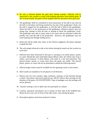- E. No one is allowed behind the goal lines during matches. Officials will be instructed to ask coaches to assist with keeping spectators from behind goals. If this is unsuccessful, the game will be stopped until the spectators leave goal area.
- F. The goalkeeper shall be considered to have possession of the ball at any time (i) the ball is motionless and being touched by any part of the goalkeeper's body, (ii) the ball is trapped by the goalkeeper, or (iii) the ball is held by the goalkeeper. When the ball is in the possession of the goalkeeper, offensive players may not charge him, attempt to kick the ball, or attempt to block the goalkeeper's kick. The goalkeeper may take as many steps as he wants and run anywhere within the penalty area with the ball in his possession. However, the goalkeeper may not waste playing time though stalling tactics.
- G. Hand call will be made only when, in the referee's judgment, the player attempts to guide the ball.
- H. The only people allowed to talk to the referee during the match are the coaches on each team
- I. Referees have been instructed to first give a warning to an unruly player, parent, or coach. Should the same individual repeat offense, then, the referee may issue a yellow card (caution). A third offense will result in a red card (ejection). The ejected player, parent, or coach must leave the game site totally. The ejected player, parent, or coach will not be permitted to attend the following match.
- J. Official league rosters must be available for the opposing coach at each match.
- K. Shin Guards are mandatory for all players in all divisions.
- L. Players may not wear watches, rings, necklaces, earrings, or hair barrettes during a match. Any player with newly pierced ears, MUST remove their earrings for the duration of the [game. NO](http://game.no/) EXCEPTIONS. Tape or bandages over the earrings will not be allowed.
- M. Anyone wearing a cast or splint may not participate as a player.
- N. Coaches, spectators and players are to remain on their side of the midfield line. Please do not cross over in front of the other team's area during the game.
- O. Prescription glasses must have protective frames.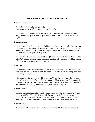#### **PRE K AND KINDERGARTEN DIVISION RULES**

#### **1. Number of players**

 Pre K: Five (5) field players - no goalie Kindergarten: Five (5) field players and one (1) goalie

 COMMENTS: If less than six (6) players are available, coaches should attempt to play with fewer players or trade players with the other team, but both coaches must agree.

#### **2. Length of game**

Pre K: Practices and games will be held on Saturdays. Practice will take place for twenty (20) minutes beginning at the scheduled hour. A break period of up to ten (10) minutes will follow. The game will then begin and will run as five (5) minute quarters. Rotations should take place each quarter.

Kindergarten: A game will consist of two (2) twenty (20) minute halves. There will be a ten (10) minute halftime break. Time runs continuously. Coaches should select one (1) timekeeper prior to the start of the game.

#### **3. Referee**

Pre K: Since this level is instructional, there will be no referees. One coach from each team will be on the field to call the game. This allows for encouragement and positioning of players.

Kindergarten: One (1) referee will be present. This referee will often be a teenager, who will serve as both referee and mentor to the children. Coaches will remain on the sideline. Coaches and parents are expected to encourage the referee, and compliment his/her efforts by praising both teams during the course of the game.

#### **4. Team Prayer**

 Coaches are encouraged to involve all parents, teams and referee in the prayer. Please gather at mid field. The HOME team will offer the prayer before the game/practice. The VISITING team will offer the prayer immediately following the game. PLEASE give the children the opportunity to take turns offering the prayer if they so desire.

#### **5. Substitution**

A system must be used to ensure equal play for every child. Positions must be rotated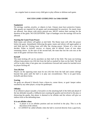on a regular basis to ensure every child gets to play offense or defense each game.

#### **SOCCER GAME GUIDELINES 1st-5/6th GRADE**

#### **Equipment**

No earrings, watches, jewelry, or objects in hair. Glasses must have protective frames. Shin guards are required for all games and recommended for practices. No metal cleats are allowed. Any player with newly pierced ears, MUST remove their earrings for the duration of the [game. NO](http://game.no/) EXCEPTIONS. Tape or bandages over the earrings will not be allowed.

#### **Starting the Game/Team Prayer**

Both teams and referee will gather at mid field. The Home team will offer the prayer before the game. Immediately following the game, teams and referee will again gather at mid field and the Visiting team will offer the closing prayer. Winner of a coin toss decides: Either to kickoff, receive, or choose side to defend. Loser of toss takes remaining choice. At the start of the second half, the team that lost the coin toss at the start of the game will have first choice.

#### **Kickoff**

The team kicking off can be anywhere on their half of the field. The team not kicking offmust keep players ten (10) feet from the ball as marked by lines on the field. The ball will be in play when it has gone one circumference forward and cannot be touched twice by player kicking off.

#### **Ten (10) feet**

Players on the opposing team must be ten (10) feet from the ball and cannot infringe beyond that point until the ball is in play one circumference. This is on goal kicks, kickoffs and direct kicks.

#### **Scoring**

No goals are allowed if directly from a throw-in, corner throw, or goal- keeper unless touched by any other player, except the goalkeeper.

#### **Offsides**

If an offensive player (usually a forward) is in the attacking half of the field and ahead of the last defender (usually a fullback) (not counting the goalie) and involved in the play or distracting the goalie, that player is deemed to be offsides and the referee will give an indirect kick to the defending team.

#### **It is not offsides when:**

- **1.** A player is in an offsides position and not involved in the play. This is at the discretion of the referee.
- **2.** It CANNOT be called offsides when the ball is received directly from a goal kick,